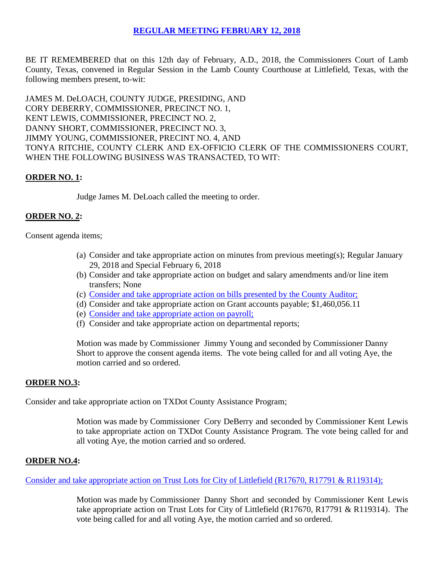# **REGULAR [MEETING FEBRUARY 12, 2018](Links%202018-02-12-Regular/01%20AGENDA%20REGULAR%20MEETING-FEBRUARY%2012,%202018.pdf)**

BE IT REMEMBERED that on this 12th day of February, A.D., 2018, the Commissioners Court of Lamb County, Texas, convened in Regular Session in the Lamb County Courthouse at Littlefield, Texas, with the following members present, to-wit:

JAMES M. DeLOACH, COUNTY JUDGE, PRESIDING, AND CORY DEBERRY, COMMISSIONER, PRECINCT NO. 1, KENT LEWIS, COMMISSIONER, PRECINCT NO. 2, DANNY SHORT, COMMISSIONER, PRECINCT NO. 3, JIMMY YOUNG, COMMISSIONER, PRECINT NO. 4, AND TONYA RITCHIE, COUNTY CLERK AND EX-OFFICIO CLERK OF THE COMMISSIONERS COURT, WHEN THE FOLLOWING BUSINESS WAS TRANSACTED, TO WIT:

### **ORDER NO. 1:**

Judge James M. DeLoach called the meeting to order.

## **ORDER NO. 2:**

Consent agenda items;

- (a) Consider and take appropriate action on minutes from previous meeting(s); Regular January 29, 2018 and Special February 6, 2018
- (b) Consider and take appropriate action on budget and salary amendments and/or line item transfers; None
- (c) [Consider and take appropriate action on bills presented by the County Auditor;](Links%202018-02-12-Regular/03%20ACCOUNTS%20PAYABLE-FEBRUARY%2012,%202018.pdf)
- (d) Consider and take appropriate action on Grant accounts payable; \$1,460,056.11
- (e) [Consider and take appropriate action on payroll;](Links%202018-02-12-Regular/04%20PAYROLL%20PAYABLES-FEBRUARY%2012,%202018.pdf)
- (f) Consider and take appropriate action on departmental reports;

Motion was made by Commissioner Jimmy Young and seconded by Commissioner Danny Short to approve the consent agenda items. The vote being called for and all voting Aye, the motion carried and so ordered.

### **ORDER NO.3:**

Consider and take appropriate action on TXDot County Assistance Program;

Motion was made by Commissioner Cory DeBerry and seconded by Commissioner Kent Lewis to take appropriate action on TXDot County Assistance Program. The vote being called for and all voting Aye, the motion carried and so ordered.

#### **ORDER NO.4:**

Consider and take appropriate action [on Trust Lots for City of Littlefield \(R17670, R17791 & R119314\);](Links%202018-02-12-Regular/05%20TRUST%20LOTS%20CITY%20OF%20LITTLEFIELD%20(R17670,%20R17791%20&%20R19314)-FEBRUARY%2012,%202018.pdf)

Motion was made by Commissioner Danny Short and seconded by Commissioner Kent Lewis take appropriate action on Trust Lots for City of Littlefield (R17670, R17791 & R119314). The vote being called for and all voting Aye, the motion carried and so ordered.